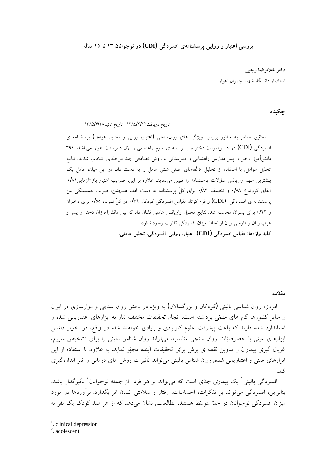**ƶƫŚſ ÎÒŚţ ÎÐƱŚƳřƺūƺƳŹŵ (CDI)ƾĭŵźƀƟř įƶƯŚƴƄſźěƾƿřƹŹƹŹŚŞŤƗřƾſŹźŝ**

دکتر غلامرضا رجب*ی* استادیار دانشگاه شهید چمران اهواز

### چکیده

تاريخ دريافت١٢/٢/٢/٤/٢/٢٨ - تاريخ تأئيد١٣٨٥/٢/١٨

تحقیق حاضر به منظور بررسی ویژگی های روان سنجی (اعتبار، روایی و تحلیل عوامل) پرسشنامه ی افسردگی (CDI) در دانشآموزان دختر و پسر پایه ی سوم راهنمایی و اول دبیرستان اهواز میباشد. ۳۹۹ دانشآموز دختر و يسر مدارس راهنمايي و دبيرستاني با روش تصادفي چند مرحلهاي انتخاب شدند. نتايج تحلیل عوامل, با استفاده از تحلیل مؤلّفههای اصلی شش عامل را به دست داد. در این میان، عامل یکم بیشترین سهم واریانس سؤالات پرسشنامه را تبیین میiماید. علاوه بر این، ضرایب اعتبار باز-آزمایی۲۸۱. آلفای کرونباخ ۰/۸۸ و تنصیف ۰/۸۳ برای کلّ پرسشنامه به دست آمد. همچنین، ضریب همبستگی بین یرسشنامه ی افسردگی (CDI) و فرم کوتاه مقیاس افسردگی کودکان ۰/۳٦ در کلّ نمونه، ۰/۰٥ برای دختران و ۰/۲۲. برای پسران محاسبه شد. نتایج تحلیل واریانس عاملی نشان داد که بین دانشآموزان دختر و پسر و عرب زبان و فارسی زبان از لحاظ میزان افسردگی تفاوت وجود ندارد. **.ƾƬƯŚƗƪǀƬŰţ .ƾĭŵźƀƟř .ƾƿřƹŹ .ŹŚŞŤƗř .(CDI)ƾĭŵźƀƟřŽŚǀƤƯ :ŚƷƵĥřƹ ŶǀƬƧ**

#### مق*د*ّمه

امروزه روان شناسی بالینی (کودکان و بزرگسالان) به ویژه در بخش روان سنجی و ابزارسازی در ایران و سایر کشورها گام های مهمّی برداشته است. انجام تحقیقات مختلف نیاز به ابزارهای اعتباریابی شده و استاندارد شده دارند که باعث پیشرفت علوم کاربردی و بنیادی خواهند شد. در واقع، در اختیار داشتن ابزارهای عینی با خصوصیّات روان سنجی مناسب، میتواند روان شناس بالینی را برای تشخیص سریع، غربال گیری بیماران و تدوین نقطه ی برش برای تحقیقات آینده مجهّز نماید. به علاوه، با استفاده از این ابزارهای عینی و اعتباریابی شده, روان شناس بالینی می تواند تأثیرات روش های درمانی را نیز اندازهگیری كند.

فسردگی بالینی ٰ یک بیماری جدّی است که میتواند بر هر فرد از جمله نوجوانان ٰ تأثیرگذار باشد. بنابراين، افسردگي مي تواند بر تفكّرات، احساسات، رفتار و سلامتي انسان اثر بگذارد. برأوردها در مورد میزان افسردگی نوجوانان در حلّ متوسّط هستند. مطالعات, نشان میدهد که از هر صد کودک یک نفر به

2 . adolescent

<sup>&</sup>lt;sup>1</sup>. clinical depression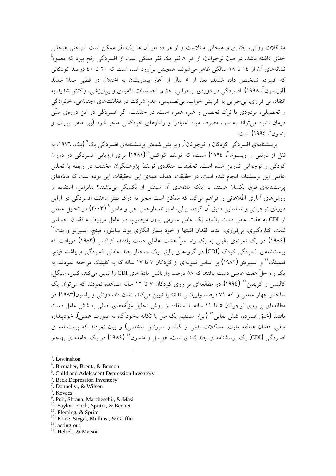مشکلات روانی، رفتاری و هیجانی مبتلاست و از هر ده نفر آن ها یک نفر ممکن است ناراحتی هیجانی جدّي داشته باشد. در ميان نوجوانان، از هر ۸ نفر يک نفر ممکن است از افسردگی رنج ببرد که معمولاً نشانههای اَن از ۱۶ تا ۱۸ سالگی ظاهر میشوند. همچنین براَورد شده است که ۲۰ تا ٤٠ درصد کودکانی که افسرده تشخیص داده شدند, بعد از ٥ سال از آغاز بیماریشان به اختلال دو قطبی مبتلا شدند (لوینسون ؓ، ۱۹۹۸). افسردگی در دورهی نوجوانی، خشم، احساسات ناامیدی و بی|رزشی، واکنش شدید به انتقاد، بی قراری، بی خوابی یا افزایش خواب، بی تصمیمی، عدم شرکت در فعّالیّتهای اجتماعی، خانوادگی و تحصیلی، مردودی یا ترک تحصیل و غیره همراه است. در حقیقت، اگر افسردگی در این دورهی سنّی درمان نشود می تواند به سوء مصرف مواد اعتیادزا و رفتارهای خودکشی منجر شود (بیر ماهر، برینت و بنسون ٔ، ۱۹۹٤) است.

پرسشنامهی افسردگی کودکان و نوجوانان°, ویرایش شدهی پرسشنامهی افسردگی بک<sup>٦</sup> (یک، ۱۹۷۲، به نقل از دونلی و ویلسون<sup>٬</sup>، ۱۹۹٤**)** است، که توسّط کواکس<sup>^</sup> (۱۹۸۱**)** برای ارزیابی افسردگی در دوران کودکے و نوجوانی تدوین شدہ است. تحقیقات متعّددی توسّط پژوهشگران مختلف در رابطه یا تحلیل عاملی این پرسشنامه انجام شده است. در حقیقت، هدف همهی این تحقیقات این بوده است که مادّههای یر سشنامهی فوق یکسان هستند یا اینکه مادّههای آن مستقل از یکدیگر میباشند؟ بنابراین، استفاده از روشهای اَماری اطّلاعاتی را فراهم میکند که ممکن است منجر به درک بهتر ماهیّت افسردگی در اوایل دورهی نوجوانی و شناسایی دقیق آن گردد. پولی، اسبرانا، مارچس چی و ماسی<sup>۹</sup> (۲۰۰۳) در تحلیل عاملی از CDI به هفت عامل دست یافتند. یک عامل عمومی بدون موضوع، دو عامل مربوط به فقدان احساس لذّت، کنارهگیری، بیlفراری، عناد، فقدان اشتها و خود بیمار انگاری بود. سایلور، فینچ، اسپیرتو و بنت <sup>۱٬</sup> (١٩٨٢) در یک نمونهی بالینی به یک راه حلّ هشت عاملی دست یافتند. کواکس (۱۹۸۳) دریافت که یر سشنامهی افسردگی کودک (CDI) در گروههای بالینی یک ساختار چند عاملی افسردگی میباشد. فینچ، فلمینگ'' و اسپیریتو (۱۹۸۲) بر اساس نمونهای از کودکان ۷ تا ۱۷ ساله که به کلینیک مراجعه نمودند، به یک راه حلّ هفت عاملی دست یافتند که ۵۸ درصد واریانس ماده های CDI را تبیین می کند. کلین، سیگل، کالینس و کریفین<sup>۱۲</sup> (۱۹۹٤) در مطالعهای بر روی کودکان ۷ تا ۱۲ ساله مشاهده نمودند که میتوان یک ساختار چهار عاملی را که ۷۱ درصد واریانس CDI را تیبین می کند، نشان داد. دونلی و پلسون(۱۹۸۳) در مطالعهای بر روی نوجوانان ٥ تا ١١ ساله با استفاده از روش تحلیل مؤلّفههای اصلی به شش عامل دست یافتند (خلق افسرده، کنش نمایی ٌ" (ابراز مستقیم یک میل یا تکانه ناخوداًگاه به صورت عملی)، خودینداره منفی، فقدان عاطفه مثبت، مشکلات بدنی و گناه و سرزنش شخصی) و بیان نمودند که پرسشنامه ی افسردگی (CDI) یک پرسشنامه ی چند بُعدی است. هل سل و متسون<sup>۱۶</sup> (۱۹۸٤) در یک جامعه ی بهنجار

- <sup>9</sup>. Poli, Sbrana, Marcheschi., & Masi
- <sup>10</sup>. Saylor, Finch, Sprito., & Bennet
- <sup>11</sup>. Fleming, & Sprito
- <sup>12</sup>. Kline, Siegal, Mullins., & Griffin
- <sup>13</sup>. acting-out

<sup>3</sup> . Lewinshon

<sup>4</sup> . Birmaher, Brent., & Benson

<sup>&</sup>lt;sup>5</sup>. Child and Adolescent Depression Inventory

<sup>&</sup>lt;sup>6</sup>. Beck Depression Inventory

<sup>7</sup> . Donnelly., & Wilson

<sup>8</sup> . Kovacs

 $14$ . Helsel., & Matson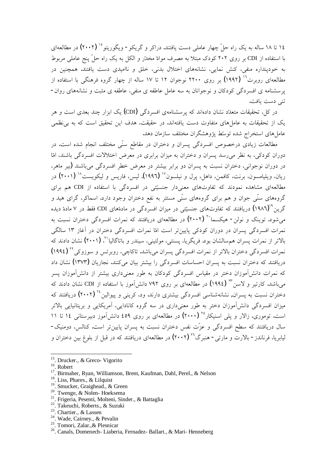۱۶ تا ۱۸ ساله به یک راه حلّ چهار عاملی دست یافتند. دراکر و گریکو - ویگوریتو <sup>۱</sup>٬ **(۲۰۰۲)** در مطالعهای با استفاده از CDI بر روی ۲۰۲ کودک مبتلا به مصرف موادّ مخدّر و الکل به یک راه حلّ پنج عاملی مربوط به خودپنداره منفی، کنش نمایی، نشانههای اختلال بدنی، خلق و ناامیدی دست یافتند. همچنین در مطالعهای روبرت<sup>۱۲</sup> (۱۹۹۲) بر روی ۲۲۰۰ نوجوان ۱۲ تا ۱۷ ساله از چهار گروه فرهنگی با استفاده از یر سشنامه ی افسردگی کودکان و نوجوانان به سه عامل عاطفه ی منفی، عاطفه ی مثبت و نشانههای روان-تني دست يافت.

در کل، تحقیقات متعدّد نشان دادهاند که برسشنامهی افسردگی (CDI) یک ابزار چند بعدی است و هر یک از تحقیقات به عاملهای متفاوت دست یافتهاند. در حقیقت، هدف این تحقیق است که به بی نظمی عامل های استخراج شده توسّط یژوهشگران مختلف سازمان دهد.

مطالعات زیادی درخصوص افسردگی پسران و دختران در مقاطع سنّی مختلف انجام شده است. در دوران کودکی، به نظر می رسد پسران و دختران به میزان برابری در معرض اختلالات افسردگی باشند، امّا در دوران نوجوانی، دختران نسبت به پسران دو برابر پیشتر در معرض خطر افسردگی می باشند (پیر ماهر، ریان، ویلیامسون، برنت، کافمن، داهل، پرل و نیلسون<sup>۱۷</sup> (۱۹۹۲). لیس، فاریس و لیکویست<sup>۱۸</sup> (۲۰۰۱) در مطالعهای مشاهده نمودند که تفاوتهای معنیدار جنسیّتی در افسردگی با استفاده از CDI هم برای گروههای سنّی جوان و هم برای گروههای سنّی مستتر به نفع دختران وجود دارد. اسماکر، گرای هید و گرین<sup>۹</sup>`(۱۹۸**۲)** دریافتند که تفاوتهای جنسیّتی در میزان افسردگی در مادهّهای CDI فقط در ۷ مادهّ دیده میشود. توینک و نولن- هیکسماً `` (۲۰۰۲) در مطالعهای دریافتند که نمرات افسردگی دختران نسبت به نمرات افسردگی پسران در دوران کودکی پایینتر است امّا نمرات افسردگی دختران در آغاز ۱۳ سالگی بالاتر از نمرات پسران همسالشان بود. فریگریا، پسنتی، مولتینی، سیندر و باتاگالیا<sup>۲</sup>، (۲۰۰۱) نشان دادند که نمرات افسردگی دختران بالاتر از نمرات افسردگی پسران میباشد. تاکاچی، روبرتس و سوزوکی<sup>۲۲</sup> (۱۹۹٤) دریافتند که دختران نسبت به پسران احساسات افسردگی را بیشتر بیان میکنند. نجاریان (۱۳۷۳) نشان داد که نمرات دانش آموزان دختر در مقیاس افسردگی کودکان به طور معنیداری بیشتر از دانش آموزان پسر میباشد. کارتیر و لاسن™ (۱۹۹٤) در مطالعهای بر روی ۷۹۲ دانش[موز با استفاده از CDI نشان دادند که دختران نسبت به پسران, نشانهشناسی افسردگی بیشتری دارند. ود، کرینی و پیوالین<sup>۲۶</sup> (۲۰۰۲) دریافتند که میزان افسردگی دانشآموزان دختر به طور معنیداری در سه گروه کانادایی، آمریکایی و بریتانیایی بالاتر است. توموري، زالار و يلي اسنيكار°٬ (۲۰۰۰) در مطالعهاي بر روي ٤٥٩ دانش آموز دبيرستاني ١٤ تا ١١ سال دریافتند که سطح افسردگی و عزّت نفس دختران نسبت به پسران پایین تر است. کنالس، دومنیک-ليابريا، فرناندز - بالارت و مارتي - هنبرگ<sup>۲۲</sup> (۲۰۰۲) در مطالعهاي دريافتند که در قبل از بلوغ بين دختران و

- <sup>19</sup>. Smucker, Graighead., & Green
- <sup>20</sup>. Twenge, & Nolen-Hoeksema
- <sup>21</sup>. Frigeria, Pesenti, Molteni, Sinder., & Battaglia
- <sup>22</sup>. Takeuchi, Roberts., & Suzuki
- <sup>23</sup>. Chartier., & Lassen
- <sup>24</sup>. Wade, Cairney., & Pevalin
- <sup>25</sup>. Tomori, Zalar.,& Plesnicar

<sup>&</sup>lt;sup>15</sup>. Drucker., & Greco- Vigorito

<sup>&</sup>lt;sup>16</sup>. Robert

<sup>&</sup>lt;sup>17</sup>. Birmaher, Ryan, Williamson, Brent, Kaufman, Dahl, Perel., & Nelson

<sup>&</sup>lt;sup>18</sup>. Liss, Phares., & Lilquist

<sup>26</sup>. Canals, Domenech- Liaberia, Fernadez- Ballart., & Mari- Henneberg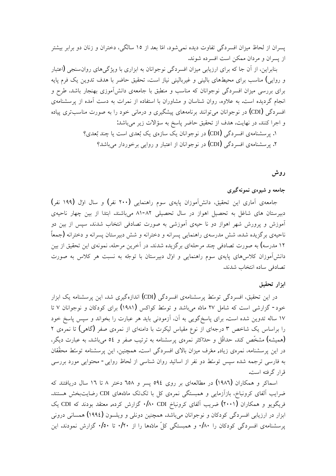پسران از لحاظ میزان افسردگی تفاوت دیده نمیشود، امّا بعد از ۱۵ سالگی، دختران و زنان دو برابر بیشتر از يسران و مردان ممكن است افسرده شوند.

بنابراین، از آن جا که برای ارزیابی میزان افسردگی نوجوانان به ابزاری با ویژگیهای روان سنجی (اعتبار و روایی) مناسب برای محیطهای بالینی و غیربالینی نیاز است، تحقیق حاضر با هدف تدوین یک فرم پایه برای بررسی میزان افسردگی نوجوانان که مناسب و منطبق با جامعهی دانشآموزی بهنجار باشد، طرح و انجام گردیده است. به علاوه، روان شناسان و مشاوران با استفاده از نمرات به دست آمده از پرسشنامهی افسردگی (CDI) در نوجوانان می¤وانند برنامههای پیشگیری و درمانی خود را به صورت مناسبتری پیاده و اجرا كنند. در نهايت، هدف از تحقيق حاضر پاسخ به سؤالات زير مىباشد: ۰. پر سشنامهي افسردگي (CDI) در نوجوانان يک سازهي يک بُعدي است يا چند بُعدي؟ ۲. پرسشنامهی افسردگی (CDI) در نوجوانان از اعتبار و روایی برخوردار میباشد؟

**ƁƹŹ**

# جامعه و شیوه**ی ن**مونهگیری

جامعه آماری این تحقیق، دانشآموزان پایهی سوم راهنمایی (۲۰۰ نفر) و سال اول (۱۹۹ نفر) دبیرستان های شاغل به تحصیل اهواز در سال تحصیلی ۸۲-۸۱ میباشند. ابتدا از بین چهار ناحیهی آموزش و پرورش شهر اهواز دو نا حیهی آموزشی به صورت تصادفی انتخاب شدند. سپس از بین دو ناحیهی برگزیده شده، شش مدرسهی راهنمایی پسرانه و دخترانه و شش دبیرستان پسرانه و دخترانه (جمعاً ۱۲ مدرسه) به صورت تصادفی چند مرحلهای برگزیده شدند. در آخرین مرحله، نمونهی این تحقیق از بین دانش آموزان کلاس های یایهی سوم راهنمایی و اول دبیرستان با توجّه به نسبت هر کلاس به صورت تصادفي ساده انتخاب شدند.

## ایزار تحقیق

در این تحقیق، افسردگی توسط پرسشنامهی افسردگی (CDI) اندازهگیری شد. این پرسشنامه یک ابزار خود- گزارشی است که شامل ۲۷ مادّه میباشد و توسّط کواکس (۱۹۸۱) برای کودکان و نوجوانان ۷ تا ۱۷ ساله تدوین شده است. برای پاسخگویی به آن، آزمودنی باید هر عبارت را بخواند و سپس پاسخ خود را براساس یک شاخص ۳ درجهای از نوع مقیاس لیکرت با دامنهای از نمرهی صفر (گاهی) تا نمرهی ۲ (همیشه) مشخّص کند. حداقل و حلـٌاکثر نمرهي پرسشنامه به ترتیب صفر و ٥٤ میباشد. به عبارت دیگر، در این پرسشنامه، نمرەی زیاد, معّرف میزان بالای افسردگی است. همچنین، این پرسشنامه توسّط محقّقان به فارسی ترجمه شده سپس توسّط دو نفر از اساتید روان شناسی از لحاظ روایی- محتوایی مورد بررسی قرار گرفته است.

اسماکر و همکاران (۱۹۸۲) در مطالعهای بر روی ٥٩٤ پسر و ٦٥٨ دختر ٨ تا ١٦ سال دریافتند که ضرايب آلفاي كرونباخ، بازآزمايي و همبستگي نمرهي كل با تكتك مادّههاي CDI رضايتبخش هستند. فریگویو و همکاران (۲۰۰۱) ضریب آلفای کرونباخ ۰/۸۰ CDI، گزارش کرده, معتقد بودند که CDI یک ابزار در ارزيابي افسردگي كودكان و نوجوانان مي!شد. همچنين دونلي و ويلسون (١٩٩٤) همساني دروني یرسشنامهی افسردگی کودکان را ۰/۸۰ و همبستگی کلّ مادّهها را از ۰/۲۰ تا ۰/۰۰ گزارش نمودند. این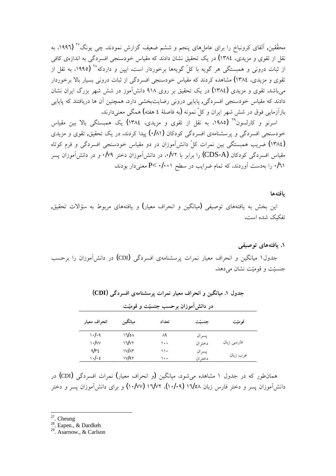محقّقین, آلفای کرونباخ را برای عاملهای پنجم و ششم ضعیف گزارش نمودند. چی یونگ<sup>٬۲۷</sup> (۱۹۹۲، به نقل از تقوی و مزیدی، ۱۳۸٤) در یک تحقیق نشان دادند که مقیاس خودسنجی افسردگی به اندازهی کافی از ثبات درونی و همبستگی هر گویه با کلّ گویهها برخوردار است. ایپن و داردکه<sup>۲۸</sup> (۱۹۹۵، به نقل از تقوی و مزیدی، ۱۳۸٤) مشاهده کردند که مقیاس خودسنجی افسردگی از ثبات درونی بسیار بالا برخوردار میباشد. تقوی و مزیدی (۱۳۸٤) در یک تحقیق بر روی ۹۱۸ دانشآموز در شش شهر بزرگ ایران نشان دادند که مقیاس خودسنجی افسردگی, پاپایی درونی رضایتبخشی دارد. همچنین آن ها دریافتند که پاپایی بازآزمایی فوق در شش شهر ایران و کلّ نمونه (به فاصلهٔ ٤ هفته) همگی معنیدارند.

اسرنو و کارلسون°٬ (۱۹۸۵، به نقل از تقوی و مزیدی، ۱۳۸٤) یک همبستگی بالا بین مقیاس خودسنجی افسردگی و پرسشنامهی افسردگی کودکان (۰/۸۱) پیدا کردند. در یک تحقیق, تقوی و مزیدی (١٣٨٤) ضریب همبستگی بین نمرات کلّ دانشآموزان در دو مقیاس خودسنجی افسردگی و فرم کوتاه مقیاس افسردگی کودکان (CDS-A) را برابر با ۰/۷۲، در دانش[موزان دختر ۰/۷۹ و در دانش[موزان یسر ۰/٦۱ را بهدست آوردند، که تمام ضرایب در سطح ۰/۰۰۱ >P معنیدار بودند.

#### يافتهها

اين بخش به يافتههاي توصيفي (ميانگين و انحراف معيار) و يافتههاي مربوط به سؤالات تحقيق, تفكيك شده است.

#### **ƾƠǀƇƺţƽŚƷƶŤƟŚƿ .Î**

جدول۱ میانگین و انحراف معیار نمرات پرسشنامهی افسردگی (CDI) در دانشآموزان را برحسب جنسیّت و قومیّت نشان می دهد.

| در دانش[موزان برحسب جنسیّت و قومیّت |              |       |         |            |  |  |  |  |  |
|-------------------------------------|--------------|-------|---------|------------|--|--|--|--|--|
| انحراف معيار                        | ميانگين      | تعداد | جنسيّت  | قوميّت     |  |  |  |  |  |
| 1.1.9                               | ۱٦/٥٨        | ۸۹    | يسران   |            |  |  |  |  |  |
| $\cdot$ / $\vee$                    | ۱٦/۷۲        | ۱۰۰   | دختر ان | فارسی زبان |  |  |  |  |  |
| $4/r_{\rm E}$                       | <b>IV/A۳</b> | ۱۱۰   | يسران   |            |  |  |  |  |  |
| ۰۰/۰۰                               | ۱۷/۹۲        | ۱۰۰   | دختر ان | عرب زبان   |  |  |  |  |  |

جدول ۱. میانگین و انحراف معیار نمرات پرسشنامهی افسردگی **(CDI**)

همانطور که در جدول ۱ مشاهده میشود، میانگین (و انحراف معیار) نمرات افسردگی (CDI) در دانش}موزان پسر و دختر فارس زبان ۱**٦/٥٨ (١٠/٠٩)، ١٦/٧٢ (١٠/٧٧)** و براي دانش}موزان پسر و دختر

<sup>27</sup>. Cheung

<sup>28</sup>. Eapen., & Dardkeh

 $29.$  Asarnow., & Carlson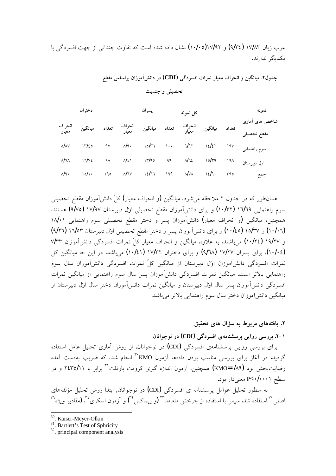| دختر ان                      |              |           | پسران<br>کل نمونه |         |          |                               |         | نمونه           |                               |  |
|------------------------------|--------------|-----------|-------------------|---------|----------|-------------------------------|---------|-----------------|-------------------------------|--|
| انحر اف<br>معیار             | ميانگين      | تعداد     | انحر اف<br>معیار  | ميانگين | تعداد    | انحراف<br>معیار               | ميانگين | تعداد           | شاخص های آماری<br>مقطع تحصيلو |  |
| $\mathcal{N}$ $\land$ $\lor$ | 17/20        | $\gamma$  | $\mathcal{N}$     | 10/T    | $\cdots$ | 9/9۲                          | ١٤/٤٢   | 19V             | سوم راهنمایی                  |  |
| M <sub>W</sub>               | $17\sqrt{2}$ | $4\wedge$ | $N\mathfrak{c}$   | 17/90   | 99       | $\mathcal{N}$ ٦٤              | 10/79   | 19 <sub>A</sub> | اول دبيرستان                  |  |
| $\mathcal{N}$ 9.             | $\sqrt{d}$   | 190       | $\mathcal{N}$ ٦٧  | 12/77   | ۱۹۹      | $\mathcal{N}$ $\vee$ $\wedge$ | 12/9    | ۳۹٥             | جمع                           |  |

جدول۲. میانگین و انحراف معیار نمرات افسردگی (CDI) در دانشآموزان براساس مقطع

تحصیلی و جنسیت

همانطور که در جدول ۲ ملاحظه میشود، میانگین (و انحراف معیار) کلّ دانشآموزان مقطع تحصیلی سوم راهنمايي ١٦/٦٩ (١٠/٣٢) و براي دانشFموزان مقطع تحصيلي اوّل دبيرستان ١٧/٩٧ (٩/٧٥) هستند. همچنین، میانگین (و انحراف معیار) دانشآموزان پسر و دختر مقطع تحصیلی سوم راهنمایی ۱۸/۰۱ (۱۰/۲۰) و ۱۰/۵۲ (۱۰/٤٥) و براى دانش آموزان پسر و دختر مقطع تحصيلى اول دبيرستان ۱۷۵۳ (۹/۲۳) و ١٩/٢٧ (١٠/٢٤) می باشند. به علاوه، میانگین و انحراف معیار کلّ نمرات افسردگی دانش آموزان ٧/٣٣ (۱۰/۰٤)، برای پسران ۱۷/۲۷ (۹/٦٨) و برای دختران ۱۷/۳۲ (۱۰/٤۱) میباشد. در این جا میانگین کل نمرات افسردگی دانشآموزان اوّل دبیرستان از میانگین کلّ نمرات افسردگی دانشآموزان سال سوم راهنمایی بالاتر است. میانگین نمرات افسردگی دانشآموزان پسر سال سوم راهنمایی از میانگین نمرات افسردگی دانشآموزان پسر سال اول دبیرستان و میانگین نمرات دانشآموزان دختر سال اول دبیرستان از مبانگین دانش آموزان دختر سال سوم راهنمایی بالاتر می باشد.

**ƢǀƤŰţƽŚƷƩřŒſƶŝƍƺŝźƯƽŚƷƶŤƟŚƿ .Ï**

**ƱŚƳřƺūƺƳŹŵ (CDI)ƾĭŵźƀƟřįƶƯŚƴƄſźěƾƿřƹŹƾſŹźŝ .Ï-**Î

برای بررسی روایی پرسشنامهی افسردگی (CDI) در نوجوانان، از روش آماری تحلیل عامل استفاده گردید. در آغاز برای بررسی مناسب بودن دادهها آزمون KMO" انجام شد، که ضریب بهدست آمده رضایتبخش بود (۱۸۹–KMO) همچنین، آزمون اندازه گیری کرویت بارتلت<sup>۳۱</sup> برابر با ۲**۱**۲۵/۱۱ و در سطح P<۱**/۰۰۰۱** معنی دار بود.

به منظور تحلیل عوامل پرسشنامه ی افسردگی (CDI) در نوجوانان, ابتدا روش تحلیل مؤلفههای صلی $^{\tau}$ استفاده شد. سپس با استفاده از چرخش متعامد $^{\tau\tau}$  (واریماکس $^{\tau\tau}$ ) و آزمون اسکری $^{\tau\tau}$  (مقادیر ویژه

<sup>30</sup>. Kaiser-Meyer-Olkin

 $31$ . Bartlett's Test of Sphricity

<sup>&</sup>lt;sup>32</sup>. principal component analysis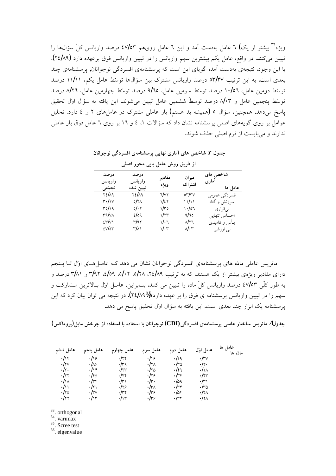ویژه<sup>۳٦</sup> بیشتر از یک**) ٦** عامل بهدست آمد و این ٦ عامل رویهم ٤٧/٥٣ درصد واریانس کلّ سؤالها را تبیین میکنند. در واقع، عامل یکم بیشترین سهم واریانس را در تبیین واریانس فوق برعهده دارد (۲٤/۸۹). با این وجود، نتیجهی بهدست آمده گویای این است که پرسشنامهی افسردگی نوجوانان, پرسشنامهی چند بعدی است. به این ترتیب ٥٣/٣٧ درصد واریانس مشترک بین سؤالها توسّط عامل یکم، ١١/١١ درصد توسِّط دومین عامل، ١٠/٥٦ درصد توسِّط سومین عامل، ٩/٦٥ درصد توسِّط چهارمین عامل، ٨/٢٦ درصد توسِّط ينجمين عامل و ٨٠٣ درصد توسطٌ ششمين عامل تبيين مي شوند. اين يافته به سؤال اول تحقيق پاسخ میدهد. همچنین، سؤال ٥ (همیشه بد هستم) بار عاملی مشترک در عاملهای ۲ و ٤ دارد. تحلیل عوامل بر روی گویههای اصلی پرسشنامه نشان داد که سؤالات ۱، ٤ و ١٦ بر روی ٦ عامل فوق بار عاملی ندارند و می بایست از فرم اصلی حذف شوند.

| از طریق روش عامل یابی محور اصلی |                              |                |                                  |                              |  |  |  |  |  |
|---------------------------------|------------------------------|----------------|----------------------------------|------------------------------|--|--|--|--|--|
| درصد<br>واريانس<br>تجمّعي       | درصد<br>واريانس<br>تبيين شده | مقادير<br>ويژه | ميزان<br>اشتراك                  | شاخص های<br>آماري<br>عامل ها |  |  |  |  |  |
| 81/19                           | <b>YE/19</b>                 | ٦/٧٢           | $\delta r/rv$                    | افسردگي عمومي                |  |  |  |  |  |
| $r\cdot/\rightarrow$            | 0/۲۸                         | ۱/٤۲           | ۱۱/۱۱                            | سرزنش و گناه                 |  |  |  |  |  |
| ۳٥/۱۹                           | ol $\cdot$ ۲                 | ۱/۳٥           | 0٦، ١                            | بىقرارى                      |  |  |  |  |  |
| ۳۹/v۸                           | ۷٥٩                          | ۱/۲۳           | 9/70                             | احساس تنهايى                 |  |  |  |  |  |
| $\epsilon r/\nu$                | ۳/۹۲                         | ۱/۰٦           | Ν۲٦                              | يـأس و نااميدى               |  |  |  |  |  |
| $\epsilon$ v/or                 | ۳/۸۱                         | ۱/۰۳           | $\mathcal{N} \cdot \mathfrak{r}$ | بی ارزشی                     |  |  |  |  |  |

جدول ۳. شاخص های آماری نهایی پرسشنامهی افسردگی نوجوانان

ماتریس عاملی مادّه های پرسشنامهی افسردگی نوجوانان نشان می دهد کـه عامـلهـای اوّل تــا پــنجم دارای مقادیر ویژهی بیشتر از یک هستند، که به ترتیب ۲۵۱۶، ۲/۵۸، ۲/۵۹، ۲/۵۹، ۳/۹۲ و ۳/۸۱ درصد و به طور کلّی ٤٧/٥٣ درصد واریانس کلّ ماده را تبیین می کنند. بنـابراین، عامـل اولّ بـالاترین مـشارکت و سهم را در تبیین واریانس پرسشنامه ی فوق را بر عهده دارد (1⁄4/A۹%). در نتیجه می توان بیان کرد که این پرسشنامه یک ابزار چند بعدی است. این یافته به سؤال او*ت*ل تحقیق پاسخ می دهد.

جدول4. ماتریس ساختار عاملی پرسشنامهی افسردگی(CDI) نوجوانان با استفاده با استفاده از چرخش مایل(پروماکس)

| عامل ششم         | عامل پنجم      | عامل چهارم     | عامل سوم            | عامل دوم    | عامل اوڻل                | عامل ها<br>مادّه ها |
|------------------|----------------|----------------|---------------------|-------------|--------------------------|---------------------|
| $\cdot/\times$   | $\cdot$ /16    | $\cdot$ /۲۴    | $\cdot$ /18         | ۰/۲۹        | $\cdot$ /۳ $\vee$        |                     |
| $\cdot$ /۲۷      | ۱۸۶            | ۰/۳۹           | $\cdot$ /۲ $\wedge$ | ۱۳۵.        | .44                      |                     |
| $\cdot/\gamma$ . | $\cdot/\cdot$  | $\cdot/\tau$ ۳ | ۲۵۱.                | ۰/۴۹        | $\cdot/\wedge$           |                     |
| $\cdot/\tau$     | ٬/۴۵           | $\cdot$ /۴۴    | ۱۲۶                 | $\cdot$ /۳۴ | $\cdot/\gamma\tau$       |                     |
| $\cdot/\wedge$   | ۰/۳۴           | ۱۳۱.           | $\cdot/\tau$        | 0۹،         | $\cdot/\tau$             |                     |
| $\cdot/\wedge$   | $\cdot/\tau$   | $\cdot$ /۲۶    | ۰/۳۸                | ۰/۳۴        | ۱۳۵.                     |                     |
| ۱۲۵.             | ۰/۳۷           | $\cdot$ /۳۴    | ۰/۳۶                | ۰/۵۴        | $\cdot$ /۴ $\wedge$      |                     |
| $\cdot/\tau$ ٢   | $\cdot/\gamma$ | $\cdot/\gamma$ | ۱۳۶                 | ۰/۳۴        | $\cdot/\gamma_{\Lambda}$ |                     |

<sup>33</sup>. orthogonal

<sup>34</sup>. varimax

 $35.$  Scree test

 $36.$  eigenvalue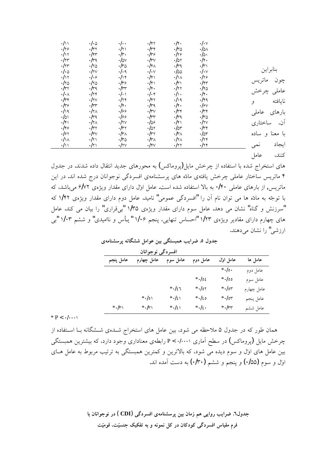| $\cdot/\wedge$        | $\cdot/\cdot$ ۵        | $\cdot$ / $\cdot$      | $\cdot$ /۴۲              | $.1$ ۴.                | $\cdot/\cdot$        |                |
|-----------------------|------------------------|------------------------|--------------------------|------------------------|----------------------|----------------|
| .119                  | $\cdot/\tau$           | $\cdot/\tau$           | $\cdot/\tau$             | $\cdot$ /٣۵            | $\cdot/\circ \wedge$ |                |
| $\cdot/\rightarrow$   | $\cdot/\gamma\gamma$   | $\cdot/\tau$ .         | .159                     | .119                   | $\cdot/\circ \cdot$  |                |
| $\cdot/\tau$ ۳        | $\cdot$ /٣٩            | $\cdot$ /0 $\vee$      | $\cdot$ /٣٧              | $\cdot/\circ \cdot$    | .14.                 |                |
| $\cdot/\tau$ ۳        | $\cdot$ /۲۵            | $\cdot$ /٣۵            | $\cdot/\gamma_{\Lambda}$ | $\cdot$ /٣٩            | $\cdot/\tau$         |                |
| $\cdot/\cdot$ $\circ$ | $\cdot$ /۲۷            | $\cdot/\cdot$ ۹        | $\cdot/\cdot$            | $\cdot$ /00            | $\cdot/\cdot$        | بنابراين       |
| $\cdot/\rangle$       | ۰٬۱۰۶                  | $\cdot/\cdot$          | $\cdot/\gamma$           | $\cdot/\wedge$         | $\cdot$ /۲۶          |                |
| $\cdot$ /۲۵           | ۱۲۵.                   | .149                   | $\cdot/\gamma$           | $\cdot/\tau$           | $\cdot/\gamma\tau$   | ماتريس<br>چون  |
| $\cdot/\tau$          | $\cdot$ /۳۹            | $\cdot$ /٣٣            | .14.                     | $\cdot/\tau$ ٢         | $\cdot$ /۴۵          |                |
| $\cdot/\cdot$         | $\cdot/\tau$           | $\cdot/\cdot$          | $\cdot/\cdot$ ۴          | $\cdot/\cdot$          | .14.                 | عاملى چرخش     |
| $\cdot$ /٣۴           | $\cdot$ /۲ $\vee$      | $\cdot/\tau$           | $\cdot$ /۴۲              | .119                   | $\cdot$ /۴۹          | نايافته<br>و   |
| .119                  | $\cdot$ / $\tau$       | .14.                   | $\cdot/\tau$ q           | .14.                   | $\cdot$ /۶ $\vee$    |                |
| .119                  | $\cdot/\gamma_A$       | ۱۶۶                    | $\cdot/\tau$             | $\cdot/\tau$           | $\cdot/\tau$         | بارهای عاملی   |
| $\cdot/\circ$         | $\cdot$ /٣٩            | ۱۶۶                    | $\cdot$ / $\tau\tau$     | $\cdot$ /۳۹            | $\cdot$ /٣۵          |                |
| $\cdot/\gamma$        | $\cdot/\tau_{\Lambda}$ | $\cdot$ /۲ $\vee$      | 109                      | $\cdot/\gamma$         | $\cdot$ /۲ $\vee$    | آن، ساختاري    |
| .149                  | $\cdot/\tau$           | $\cdot/\tau$           | $\cdot/\circ \tau$       | $\cdot$ /0۳            | $\cdot/\tau$         |                |
| .157                  | $\cdot$ /٣٧            | $\cdot/\tau_{\Lambda}$ | $\cdot/\tau$             | $\cdot/\tau_{\Lambda}$ | $\cdot/\circ \tau$   | با معنا و ساده |
| $\cdot/\wedge$        | $\cdot/\tau$           | $\cdot$ /٣۵            | $\cdot/\tau_{\Lambda}$   | $\cdot/\tau_{\Lambda}$ | .114                 |                |
| $\cdot/\wedge$        | $\cdot/\tau$           | $\cdot$ /۲ $\vee$      | $\cdot$ /۴ $\vee$        | ۰/۲۲                   | .114                 | ايجاد<br>نمى   |
|                       |                        |                        |                          |                        |                      |                |

کنند، عامل

های استخراج شده با استفاده از چرخش مایل(پروماکس) به محورهای جدید انتقال داده شدند. در جدول ۴ ماتریس ساختار عاملی چرخش یافتهی مادّه های پرسشنامهی افسردگی نوجوانان درج شده اند. در این ماتریس, از بارهای عاملی ۰/۴۰ به بالا استفاده شده است. عامل اول دارای مقدار ویژهی ۶/۷۲ میباشد، که با توجّه به مادّه ها می توان نام آن را "افسردگی عمومی" نامید. عامل دوم دارای مقدار ویژهی ۱/۴۲ که **"**سرزنش و گناه" نشان می دهد. عامل سوم دارای مقدار ویژهی ۱/۳۵ "بی قراری" را بیان می کند. عامل های چهارم دارای مقادیر ویژهی ۱/۲۳ "احساس تنهایی، پنجم ۱/۰۶ "یأس و ناامیدی" و ششم ۱/۰۳ "بی ارز شے " را نشان مے دھند.

|           | افسردگی نوجوانان |          |          |               |            |
|-----------|------------------|----------|----------|---------------|------------|
| عامل پنجم | عامل چهارم       | عامل سوم | عامل دوم | عامل اوڻل     | عامل ها    |
|           |                  |          |          | $*$ ./0.      | عامل دوم   |
|           |                  |          | $*105$   | $*$ ./00      | عامل سوم   |
|           |                  | $*$ ./27 | $*$ ./0۲ | $*.\prime$ or | عامل چهارم |
|           | $*$ ./01         | $*$ ./21 | $*120$   | $*.\prime$ or | عامل پنجم  |
| $*$ ./۳۱  | $*$ ./۳۱         | $*$ ./21 | $*$ ./2. | $*$ ./٣٣      | عامل ششم   |

جدول ٥. ضرایب همبستگی بین عوامل ششگانه پرسشنامهی

 $* P < \cdot / \cdot \cdot \cdot$ 

همان طور که در جدول ۵ ملاحظه می شود، بین عامل های استخراج شــدهی شــشگانه بــا اســتفاده از چرخش مایل (پروماکس) در سطح آماری ۰/۰۰۰۱ > P رابطهی معناداری وجود دارد، که بیشترین همبستگی بین عامل های اول و سوم دیده می شود، که بالاترین و کمترین همبستگی به ترتیب مربوط به عامل هـای اوِّل و سوم (۱۵۵) و پنجم و ششم (۱۳۰) به دست آمده اند.

> جدول٦. ضرایب روایی هم زمان بین پرسشنامهی افسردگی (CDI ) در نوجوانان با فرم مقیاس افسردگی کودکان در کل نمونه و به تفکیک جنسیّت، قومیّت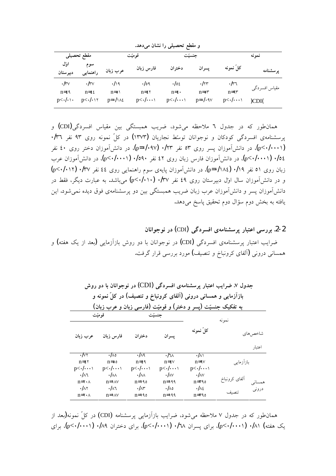و مقطع تحصیلی را نشان می دهد.

|                                                        | مقطع تحصيلى                                                        |                                                             | $\overline{\phantom{0}}$<br>قومیّت                       | . ت ت<br>حنسئت                                                | $\sim$ $\sim$                                             |                                              | نمو نه                 |
|--------------------------------------------------------|--------------------------------------------------------------------|-------------------------------------------------------------|----------------------------------------------------------|---------------------------------------------------------------|-----------------------------------------------------------|----------------------------------------------|------------------------|
| أورل<br>دبيرستان                                       | سوم<br>راهنمایی                                                    | عرب زبان                                                    | فارس زبان                                                | دختران                                                        | پسران                                                     | کل نمونه                                     | پرسشنامه               |
| $\cdot$ /۳ $\vee$<br>$n = \xi$<br>$p<\cdot/\cdot\cdot$ | $\cdot$ /۳ $\vee$<br>$n = \xi \xi$<br>$p<\cdot/\cdot$ \ $\uparrow$ | $\cdot$ /19<br>$n = o \setminus$<br>$p = \frac{1}{\lambda}$ | ۱۵۹.<br>$n = \epsilon \tau$<br>$p<\cdot/\cdot\cdot\cdot$ | $\cdot$ /0٤<br>$n = \varepsilon$<br>$p<\cdot/\cdot\cdot\cdot$ | $\cdot$ /۲۳<br>$n = \circ \tau$<br>$p = \cdot / \cdot 9V$ | ۳٦.<br>$n = 9r$<br>$p<\cdot/\cdot\cdot\cdot$ | مقياس افسردگي<br>)CDI( |

همانطور که در جدول ٦ ملاحظه می شود، ضریب همبستگی بین مقیاس افسردگی (CDI) و یرسشنامهی افسردگی کودکان و نوجوانان توسّط نجاریان (۱۳۷۳) در کلّ نمونه روی ۹۳ نفر ۰/۳٦ (p<-/∙··۱)، در دانش آموزان پسر روی ۵۳ نفر ۱۲۳′۰ (p=۰/۰۹۷)، در دانش آموزان دختر روی ٤٠ نفر  $\epsilon$ ۰/۰ (p<۰/۰۰۱) )، در دانش[موزان فارس زبان روی ٤٢ نفر ۱۵۹۰ $\epsilon$ ۰/۰)، در دانش[موزان عرب  $(p<\cdot/\cdot$ زبان روی ۵۱ نفر ۰/۱۹ (p=۰/۱۸٤)، در دانش آموزان پایهی سوم راهنمایی روی ٤٤ نفر ۰/۳۷ (p<۰/۰۱۲ و در دانشآموزان سال اول دبیرستان روی ٤٩ نفر ۰/۳۷ (p<۰/۰۱۰) میباشد. به عبارت دیگر، فقط در دانشآموزان يسر و دانشآموزان عرب زبان ضريب همبستگي بين دو يرسشنامهي فوق ديده نمي شود. اين یافته به بخش دوم سؤال دوم تحقیق پاسخ میدهد.

**ƱŚƳřƺūƺƳŹŵ (**CDI**)ƾĭŵźƀƟř įƶƯŚƴƄſźěŹŚŞŤƗřƾſŹźŝ .2-2** ضرایب اعتبار پرسشنامهی افسردگی (CDI) در نوجوانان با دو روش بازآزمایی (بعد از یک هفته) و همسانی درونی (آلفای کرونباخ و تنصیف) مورد بررسی قرار گرفت.

|                                   | جدول ۷. ضرایب اعتبار پرسشنامهی افسردگی (CDI) در نوجوانان با دو روش<br>بازآزمایی و همسانی درونی (آلفای کرونباخ و تنصیف) در کلّ نمونه و<br>به تفکیک جنسیّت (پسر و دختر) و قومیّت (فارسی زبان و عرب زبان) |                           |                           |                           |               |          |  |  |  |  |  |  |
|-----------------------------------|--------------------------------------------------------------------------------------------------------------------------------------------------------------------------------------------------------|---------------------------|---------------------------|---------------------------|---------------|----------|--|--|--|--|--|--|
|                                   | قومیّت                                                                                                                                                                                                 |                           | جنسيّت                    |                           | نمونه         |          |  |  |  |  |  |  |
| عرب زبان                          | فارس زبان                                                                                                                                                                                              | دختران                    | يسران                     | كلّ نمونه                 |               | شاخص هاي |  |  |  |  |  |  |
|                                   |                                                                                                                                                                                                        |                           |                           |                           |               | اعتبار   |  |  |  |  |  |  |
| $\frac{1}{\sqrt{2}}$              | $\sqrt{\wedge}$                                                                                                                                                                                        | 7∖۹                       | √∿                        | $\sqrt{\wedge}$           |               |          |  |  |  |  |  |  |
| $n = \epsilon \tau$               | $n = 00$                                                                                                                                                                                               | $n = \xi$                 | $n = \varepsilon$         | $n = 9V$                  | بازآزمايى     |          |  |  |  |  |  |  |
| $p<\cdot/\cdot\cdot\cdot$         | $p<\cdot/\cdot\cdot\cdot$                                                                                                                                                                              | $p<\cdot/\cdot\cdot\cdot$ | $p<\cdot/\cdot\cdot\cdot$ | $p<\cdot/\cdot\cdot\cdot$ |               |          |  |  |  |  |  |  |
| $\cdot/\wedge$ ٦                  | $\cdot/\wedge\wedge$                                                                                                                                                                                   | $\cdot/\wedge$            | $\cdot/\wedge$            | $\cdot/\wedge$            | ألفاى كرونباخ |          |  |  |  |  |  |  |
| $n = \mathbf{Y} \cdot \mathbf{A}$ | $n = \sqrt{\Delta V}$                                                                                                                                                                                  | $n = \sqrt{90}$           | $n = \sqrt{9}$            | $n = r \circ \circ$       |               | همسائی   |  |  |  |  |  |  |
| $\cdot/\wedge$ ۲                  | $\cdot/\wedge$ ٦                                                                                                                                                                                       | $\cdot/\wedge r$          | ە∧/⊷                      | $1\lambda$                | تنصيف         | درونى    |  |  |  |  |  |  |
| $n = \gamma \cdot \Lambda$        | $n = \sqrt{\Delta V}$                                                                                                                                                                                  | $n = \sqrt{90}$           | $n = \sqrt{99}$           | $n = r q o$               |               |          |  |  |  |  |  |  |

همانطور که در جدول ۷ ملاحظه میشود، ضرایب بازآزمایی پرسشنامه (CDI) در کلّ نمونه(یعد از یک هفته) ۰/۸۱ (p<۰/۰۰۰۱)، برای پسران ۰/۲۸ (p<۰/۰۰۰۱)، برای دختران ۰/۸۹ (p<۰/۰۰۱)، برای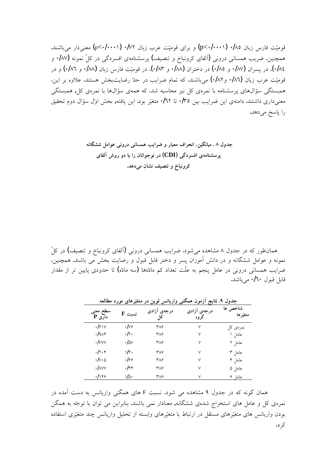قومیّت فارس زبان ۰/۸۵ (p<۰/۰۰۰۱) و برای قومیّت عرب زبان ۰/۷۲ (p<۰/۰۰۱) معنیدار میباشند. همچنین، ضریب همسانی درونی (آلفای کرونباخ و تنصیف) پرسشنامهی افسردگی در کلّ نمونه (۱۸۷. و ۰/۸۶)، در پسران (۱۸۷. و ۱/۵۵) در دختران (۱۸۸. و ۱۸۳.)، در قومیّت فارس زبان (۱۸۸. و ۱/۸۲) و در قومیّت عرب زبان (۱۸7• و۱۸۲) میباشند، که تمام ضرایب در حلهّ رضایتبخش هستند. علاوه بر این، همبستگی سؤالهای پرسشنامه با نمرهی کل نیز محاسبه شد، که همهی سؤالها با نمرهی کل وهمبستگی معنیداری داشتند. دامنهی این ضرایب بین ۰/۳۵ تا ۰/۲۲ متغیّر بود. این یافته, بخش اول سؤال دوم تحقیق را پاسخ م<sub>ی</sub>دهد.

**ƶƳŚĮƄƃƪƯřƺƗƾƳƹŹŵƾƳŚƀưƷŜƿřźƋƹŹŚǀƘƯƝřźŰƳřƲǀĮƳŚǀƯ** . **Õ ƩƹŶū ƽŚƠƫōƁƹŹƹŵŚŝřŹƱŚƳřƺūƺƳŹŵ (CDI)ƾĭŵźƀƟřįƶƯŚƴƄſźě .ŶƷŵƾƯƱŚƄƳƞǀƈƴţƹűŚŞƳƹźƧ**

همانطور که در جدول ۸ مشاهده میشود، ضرایب همسانی درونی (آلفای کرونباخ و تنصیف) در کلّ نمونه و عوامل ششگانه و در دانش آموزان پسر و دختر قابل قبول و رضایت بخش می باشند. همچنین، ضرایب همسانی درونی در عامل پنجم به علّت تعداد کم مادّهها (سه مادّه) تا حدودی پایین تر از مقدار قابل قبول **۲۰/۱۰** میباشد.

|                          | جدول ۹. نتایج آزمون همکنی واریانس لوین در متغیّرهای مورد مطالعه |             |                     |                     |  |  |  |  |  |  |
|--------------------------|-----------------------------------------------------------------|-------------|---------------------|---------------------|--|--|--|--|--|--|
| سطح معنى<br>$P$ داری     | $\mathbf F$ نسبت                                                | درجەي آزادى | درجەي آزادى<br>گروه | شاخص ها<br>متغيّرها |  |  |  |  |  |  |
| $I_{\mathcal{F}}$        | ۰/۷۶                                                            | ۳۸۶         | ٧                   | نمرەي كل            |  |  |  |  |  |  |
| .19                      | ۰/۲۰                                                            | ۳۸۶         | ٧                   | عامل ۱              |  |  |  |  |  |  |
| $\cdot$ / $\vee\vee\vee$ | ٠I۵v                                                            | ۳۸۶         | ٧                   | عامل ۲              |  |  |  |  |  |  |
| .7.4                     | ۱/۴۰                                                            | ۳۸۶         | ٧                   | عامل ۳              |  |  |  |  |  |  |
| ۰/۷۰۵                    | ۱۶۶                                                             | ۳۸۶         | ٧                   | عامل ۴              |  |  |  |  |  |  |
| $\cdot$ / $\wedge$ vv    | ۰/۴۴                                                            | ۳۸۶         | ٧                   | عامل ۵              |  |  |  |  |  |  |
| .1149                    | ۱/۵۰                                                            | ۳۸۶         | ٧                   | عامل ۶              |  |  |  |  |  |  |

**ƶƘƫŚƐƯŵŹƺƯįŚƷźĈǀƜŤƯŹŵƲƿƺƫžƳŚƿŹřƹİƴĮưƷƱƺƯŻōŪƿŚŤƳ .îƩƹŶū**

همان گونه که در جدول ۹ مشاهده می شود، نسبت F های همگنی واریانس به دست آمده در نمرهی کل و عامل های استخراج شدهی ششگانه, معنادار نمی باشند. بنابراین می توان با توجّه به همگن بودن واريانس هاى متغيّرهاى مستقل در ارتباط با متغيّرهاى وابسته از تحليل واريانس چند متغيّرى استفاده کر د.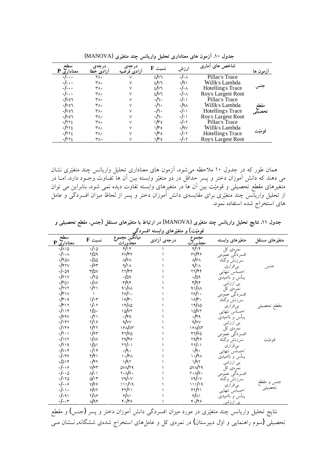| <u>معناداری</u> P         | درجەي<br>ازادى خطا | درجەي<br>آزاد <u>ی فرضیه</u> | $\mathbf F$ نسبت | ارزش                   | شاخص های أماری     | ازمون ها |
|---------------------------|--------------------|------------------------------|------------------|------------------------|--------------------|----------|
| $\cdot$ / $\cdot$ $\cdot$ | ۳۸۰                |                              | $2/\nu$          | $\cdot/\cdot$ $\wedge$ | Pillac's Trace     |          |
| $\cdot/\cdot\cdot$        | ۳۸۰                |                              | $2/\nu$ ٦        | $\cdot$ /9)            | Willk's Lambda     |          |
| ۰٬۰۰۰                     | ۳۸۰                |                              | $t/\nu$ ٦        | $\cdot/\cdot$ $\wedge$ | Hotelling's Trace  |          |
| ۰٬۰۰۰                     | ۳۸۰                |                              | $t/\nu$ ٦        | $\cdot/\cdot$ $\wedge$ | Roy's Largest Root |          |
| ۰/∨٥٦                     | ۳۸۰                | $\checkmark$                 | ٠/٦٠             | $\cdot/\cdot$          | Pillac's Trace     |          |
| ۰/۷٥٦                     | ٣٨٠                |                              | ۰/٦۰             | ۰/۹۸                   | Willk's Lambda     | مقط      |
| ۰/∨٥٦                     | ۳۸۰                |                              | ۰/٦۰             | $\cdot/\cdot$          | Hotelling's Trace  |          |
| $\cdot$ /vol              | ۳۸۰                |                              | ٠/٦٠             | $\cdot/\cdot$          | Roy's Largest Root |          |
| ،/۲۲٤                     | ۳۸۰                |                              | ۱/۳٥             | ۰/۰۲                   | Pillac's Trace     |          |
| ،/۲۲٤                     | ۳۸۰                |                              | ۱/۳٥             | $\cdot$ /۹۷            | Willk's Lambda     |          |
| ،/۲۲٤                     | ٣٨٠                |                              | ۱/۳٥             | $\cdot/\cdot$ $\cdot$  | Hotelling's Trace  |          |
| ،/۲۲٤                     | ۳۸۰                |                              | ۱/۳٥             | ۰/۰۲                   | Roy's Largest Root |          |

(MANOVA)**įźĈǀƜŤƯŶƴģžƳŚƿŹřƹƪǀƬŰţįŹřŵŚƴƘƯįŚƷƱƺƯŻō .ÎÍƩƹŶū**

همان طور که در جدول ۱۰ ملاحظه می شود، آزمون های معناداری تحلیل واریانس چند متغیّری نشان می دهند که دانش آموزان دختر و پسر حداقل در دو متغیّر وابسته بین آن ها تفـاوت وجـود دارد، امــا در متغیرهای مقطع تحصیلی و قومیّت بین آن ها در متغیرهای وابسته تفاوت دیده نمی شود. بنابراین می توان از تحلیل واریآنس چند متغیّری برای مقایسهی دانش اَموزان دختر و پسر از لحاظ میزان افسردگی و عامل های استخراج شده استفاده نمود.

جدول ۱۱. نتایج تحلیل واریانس چند متغیّری (MANOVA) در ارتباط با متغیّرهای مستقل (جنس، مقطع تحصیلی و **İĭŵźƀƟřƶŤƀŝřƹįŚƷźĈǀƜŤƯƹ (ŢĈǀƯƺƣ**

|                               |                                 |                                 | سعير س      | توميب                          |                  |                      |
|-------------------------------|---------------------------------|---------------------------------|-------------|--------------------------------|------------------|----------------------|
| سطح<br>معناداری P             | $F$ نسبت                        | ميانگين مجموع<br><u>مجذورات</u> | درجەي آزادى | مجموع<br>مجذورآت               | متغیّرهای وابسته | متغیّرهای مستقل      |
| ۱۸۱۵.                         | ۰/۰۵                            | $\sqrt{14}$                     |             | ۴/۱۴                           | نمړهۍ کل         |                      |
| $\cdot/\cdot \wedge$          | 7/۵۹                            | $s\vee s$                       |             | $5\sqrt{5}$                    | افسردگي عمومي    |                      |
| $\cdot$ /۴۵۸                  | $\cdot$ /00                     | $N^{\rho}$                      |             | $\sqrt{\frac{2}{3}}$           | سرزنش وگناه      |                      |
| $\cdot$ /۴۲۷                  | $\cdot$ /۶۳                     | $\Delta/\lambda$                |             | $4/\lambda$                    | بي قراري         |                      |
| .1.09                         | $r/\text{ov}$                   | ٢٢/٤٤                           |             | ۲۲/۴۴                          | اجساس تنهايي     |                      |
| 151V                          | $\cdot$ /۲۵                     | $\cdot$ /09                     |             | $\cdot$ /09                    | يــأس و نااميديّ |                      |
| $\cdot$ /٣٥١                  | $\cdot/\wedge$                  | r/qr                            |             | $\tau$ /۹۴                     | بی ارزشی         |                      |
| $\cdot$ /۲۷۲                  | $1/\tau$                        | $\frac{1}{4}$                   |             | 41/M                           | نمړهۍ کل         |                      |
| $\cdot/\tau \vee$             | $\lambda$                       | $\frac{1}{2}$                   |             | ٢۶/١٠                          | افسردگي عمومي    |                      |
| .1r.9                         | $1/\cdot 7$                     | $19$ /۳.                        |             | $19$ /۳.                       | سرزنش وگناه      |                      |
| $\cdot/\tau$                  | $1/\cdot 7$                     | $17/\lambda_0$                  |             | $17/\lambda_0$                 | بىقرارى          | مقطع تحصب            |
| 1114                          | $\Delta$                        | 10/17                           |             | $\sqrt{\Delta V}$              | احساس تنهايى     |                      |
| 158v                          | $\cdot/\tau$                    | $\cdot$ /۴۹                     |             | $\cdot$ /۴۹                    | یــأس و ناامیدی  |                      |
| ۰/۱۴۲                         | ۱۶/۱۶                           | $\sqrt{\vee\vee}$               |             | 4/vv                           | بی ارزشی         |                      |
| .1159                         | $\gamma/\gamma\gamma$           | $19$ $N$                        |             | $19$ $N$                       | نمړهۍ کل         |                      |
| $\cdot/\tau \cdot \tau$       | 1/sr                            | 57/90                           |             | 47/90                          | افسردگي عمومي    |                      |
| $\cdot$ /۱ $\vee$ ۲           | $\sqrt{\wedge}$                 | $\gamma$ 9/۴۶                   |             | ۲۹/۴۶                          | سرزنش وگناه      | قوميّت               |
| .1719                         | $1/\circ$                       | $\gamma\gamma/\epsilon$         |             | ۲۲/۰۱                          | بىقرارى          |                      |
| $\cdot/\vee\cdot\tau$         | $\cdot/\cdot$                   | $\cdot$ /٩ $\cdot$              |             | .19.                           | احساس تنهايي     |                      |
| 1.179                         | $\mathsf{f}/\mathsf{f}$         | $\binom{1.14}{1}$               |             | $\mathcal{N}$                  | یــأس و ناامیدی  |                      |
| 1014                          | $\cdot$ /۴۲                     | 1/97                            |             | 1/97                           | بی ارزشی         |                      |
| $\cdot$ / $\cdot$ $\circ$     | $V/\gamma r$                    | 0V/V9                           |             | <b>OVNT9</b>                   | نمړهۍ کل         |                      |
| $\cdot/\cdot \cdot \circ$     | $\mathcal{N} \cdot \mathcal{N}$ | $\gamma \cdot \sqrt{\gamma}$ .  |             | $\gamma \cdot \sqrt{\gamma}$ . | افسردگي عمومي    |                      |
| .1.70                         | $d\cdot r$                      | $v \sqrt{v}$                    |             | $v \triangleleft / \cdot v$    | سرزنش وگناه      |                      |
| $\cdot$ / $\cdot$ $\circ$     | ٧Ι۶۶                            | 111/19                          |             | 111/19                         | بىقرارى          | جنس و مقطع<br>تحصیلی |
| $\cdot/\cdot \setminus \cdot$ | 5/57                            | ۴۲/۲۱                           |             | ۴۲/۲۱                          | اجساس تنهايى     |                      |
| .1.91                         | $\frac{1}{2}$                   | 9/11                            |             | 9/11                           | یــأس و ناامیدی  |                      |
| $\cdot/\cdot\cdot$ ۳          | $\sqrt{44}$                     | 4.149                           |             | 4./46                          | بی ارزشی         |                      |

نتايج تحليل واريانس چند متغيّري در مورد ميزان افسردگي دانش آموزان دختر و پسر (جنس) و مقطع تحصیلی (سوم راهنمایی و اوّل دبیرستان) در نمرهی کل و عاملهای استخراج شدهی ششگانه, نــشان مــی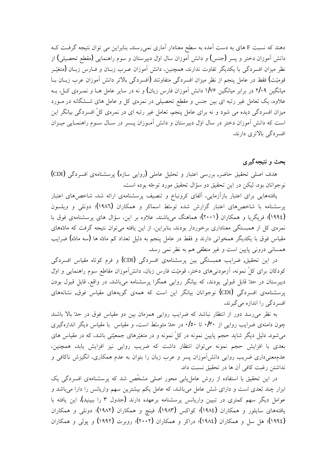دهند که نسبت F های به دست آمده به سطح معنادار آماری نمیررسند. بنابراین می توان نتیجه گرفت کـه دانش اَموزان دختر و يسر (جنس) و دانش اَموزان سال اول دبيرستان و سوم راهنمايي (مقطع تحصيلي) از نظر میزان افسردگی با یکدیگر تفاوت ندارند. همچنین، دانش آموزان عـرب زبـان و فــارس زبــان (متغیّــر قومیّت) فقط در عامل پنجم از نظر میزان افسردگی متفاوتند (افسردگی بالاتر دانش آموزان عرب زبــان بــا میانگین ۲/۰۹ در برابر میانگین ۱/۷۶ دانش آموزان فارس زبان) و نه در سایر عامل هـا و نمــره. کــل. بــه علاوه، یک تعامل غیر رتبه ای بین جنس و مقطع تحصیلی در نمرهی کل و عامل های شــشگانه در مــورد میزان افسردگی دیده می شود و نه برای عامل پنجم. تعامل غیر رتبه ای در نمرهی کلّ افسردگی بیانگر این است که دانش آموزان دختر در سال اول دبیرستان و دانش آمـوزان پـسر در سـال سـوم راهنمـایی میـزان افسردگی بالاتری دارند.

### بحث و نتیجهگیر *ی*

هدف اصلی تحقیق حاضر, بررسی اعتبار و تحلیل عاملی (روایی سازه) پرسشنامهی افسردگی (CDI) نوجوانان بود، ليكن در اين تحقيق دو سؤال تحقيق مورد توجّه بوده است.

یافتههایی برای اعتبار بازآزمایی، آلفای کرونباخ و تنصیف پرسشنامهی ارائه شد. شاخص های اعتبار یرسشنامه با شاخص۵های اعتبار گزارش شده توسط اسماکر و همکاران (۱۹۸۲)؛ دونلی و ویلسون (١٩٩٤)؛ فریگریا و همکاران (۲۰۰۱)؛ هماهنگ میباشند. علاوه بر این، سؤال های پرسشنامهی فوق با نمرەی کل از همبستگی معناداری برخوردار بودند. بنابراین، از این یافته میتوان نتیجه گرفت که مادّههای مقیاس فوق با یکدیگر همخوانی دارند و فقط در عامل پنجم به دلیل تعداد کم مادّه ها (سه مادّه) ضرایب همسانی درونی یایین است و غیر منطقی هم به نظر نمی رسد.

در این تحقیق, ضرایب همبستگی بین پرسشنامهی افسردگی (CDI) و فرم کوتاه مقیاس افسردگی کودکان برای کلّ نمونه، آزمودنی۵ای دختر، قومیّت فارس زبان، دانشآموزان مقاطع سوم راهنمایی و اول دبیرستان در حلّ قابل قبولی بودند، که بیانگر روایی همگرا پرسشنامه میباشد. در واقع، قابل قبول بودن پرسشنامهی افسردگی (CDI) نوجوانان بیانگر این است که همهی گویههای مقیاس فوق, نشانههای افسر دگی را اندازه می گیرند.

به نظر می رسد دور از انتظار نباشد که ضرایب روایی همزمان بین دو مقیاس فوق در حدّ بالا باشند چون دامنهی ضرایب روایی از ۰/۳۰ تا ۰/۵۰در حدّ متوسّط است، و مقیاس با مقیاس دیگر اندازهگیری میشود. دلیل دیگر شاید حجم پایین نمونه در کلّ نمونه و در متغیّرهای جمعیّتی باشد، که در مقیاس های بعدی با افزایش حجم نمونه میتوان انتظار داشت که ضریب روایی نیز افزایش یابد. همچنین، عدمهعنیداری ضریب روایی دانشآموزان پسر و عرب زبان را بتوان به عدم همکاری، انگیزش ناکافی و نداشتن رغبت كافي آن ها در تحقيق نسبت داد.

در این تحقیق با استفاده از روش عاملیابی محور اصلی مشخّص شد که پرسشنامهی افسردگی یک ابزار چند بُعدی است و دارای شش عامل میباشد، که عامل یکم بیشترین سهم واریانس را دارا میباشد و عوامل دیگر سهم کمتری در تبیین واریانس پرسشنامه برعهده دارند (جدول ۳ را ببینید). این یافته با یافتههای سایلور و همکاران (۱۹۸٤)؛ کواکس (۱۹۸۳)، فینچ و همکاران (۱۹۸۲)؛ دونلی و همکاران (١٩٩٤)؛ هل سل و همکاران (١٩٨٤)؛ دراکر و همکاران (٢٠٠٢)؛ روبرت (١٩٩٢) و پولی و همکاران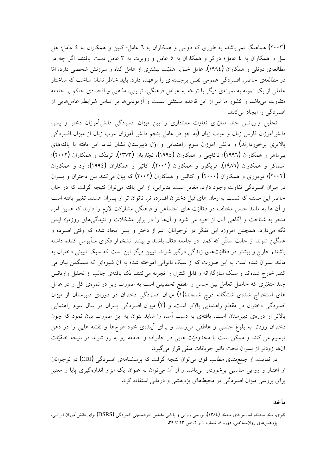(۲۰۰۳) هماهنگ نمیباشد. به طوری که دونلی و همکاران به ٦ عامل؛ کلین و همکاران به ٤ عامل؛ هل سل و همکاران به ٤ عامل؛ دراکر و همکاران به ٥ عامل و روبرت به ٣ عامل دست یافتند. اگر چه در مطالعهی دونلی و همکاران (۱۹۹٤)، عامل خلق, اهمّیّت بیشتری از عامل گناه و سرزنش شخصی دارد، امّا در مطالعهی حاضر, افسردگی عمومی نقش برجستهای را برعهده دارد. باید خاطر نشان ساخت که ساختار عاملي از يک نمونه به نمونهي ديگر با توجّه به عوامل فرهنگي، تربيتي، مذهبي و اقتصادي حاكم بر جامعه متفاوت می باشد و کشور ما نیز از این قاعده مستثنی نیست و آزمودنی۵ا بر اساس شرایط, عاملهایی از افسر دگی را ایجاد میکنند.

تحلیل واریانس چند متغیّری تفاوت معناداری را بین میزان افسردگی دانشآموزان دختر و پسر، دانشآموزان فارس زبان و عرب زبان (به جز در عامل پنجم دانش آموزان عرب زبان از میزان افسردگی بالاتری برخوردارند) و دانش آموزان سوم راهنمایی و اول دبیرستان نشان نداد. این یافته با یافتههای بیرماهر و همکاران (۱۹۹۲)؛ تاکاچی و همکاران (۱۹۹٤)، نجّاریان (۱۳۷۳)، ترینک و همکاران (۲۰۰۲)؛ اسماکر و همکاران (۱۹۸۲)، فریگور و همکاران (۲۰۰۱)، کاتیر و همکاران (۱۹۹٤)؛ ود و همکاران (۲۰۰۲)؛ توموری و همکاران (۲۰۰۲) و کنالس و همکاران (۲۰۰۲) که بیان می کنند بین دختران و پسران در میزان افسردگی تفاوت وجود دارد، مغایر است. بنابراین، از این یافته میتوان نتیجه گرفت که در حال حاضر اين مسئله كه نسبت به زمان هاى قبل دختران افسرده تر، ناتوان تر از يسران هستند تغيير يافته است و آن ها به مانند جنس مخالف در فعّالیّت های اجتماعی و فرهنگی مشارکت لازم را دارند که همین امر, منجر به شناخت و آگاهی آنان از خود می شود و آنها را در برابر مشکلات و تنیدگیهای روزمرّه ایمن نگه میدارد. همچنین امروزه این تفکّر در نوجوانان اعم از دختر و پسر ایجاد شده که وقتی افسرده و غمگین شوند از حالت سنتّی که کمتر در جامعه فعّال باشند و بیشتر نشخوار فکری مـأیوس کننده داشته باشند, خارج و بیشتر در فعّالیّتهای زندگی درگیر شوند. تبیین دیگر این است که سبک تبیینی دختران به مانند پسران شده است به این صورت که از سبک ناتوانی آموخته شده به آن شیوهای که سلیگمن بیان می کند, خارج شدهاند و سبک سازگارانه و قابل کنترل را تجربه میکنند. یک یافتهی جالب از تحلیل واریانس چند متغیّری که حاصل تعامل بین جنس و مقطع تحصیلی است به صورت زیر در نمرهی کل و در عامل های استخراج شدهی ششگانه درج شدهاند:(۱) میزان افسردگی دختران در دورهی دبیرستان از میزان افسردگی دختران در مقطع راهنمایی بالاتر است. و (۲) میزان افسردگی پسران در سال سوم راهنمایی بالاتر از دورهی دبیرستان است. یافتهی به دست آمده را شاید بتوان به این صورت بیان نمود که چون دختران زودتر به بلوغ جنسی و عاطفی میرسند و برای اَیندهی خود طرحها و نقشه هایی را در ذهن ترسیم می کنند و ممکن است با محدودیّت هایی در خانواده و جامعه رو به رو شوند در نتیجه خلقیّات آنها زودتر از پسران تحت تاثیر جریانات منفی قرار میگیرد.

در نهایت، از جمع بندی مطالب فوق می توان نتیجه گرفت که پرسشنامهی افسردگی (CDI) در نوجوانان از اعتبار و روایی مناسبی برخوردار میباشد و از آن میتوان به عنوان یک ابزار اندازهگیری پایا و معتبر برای بررسی میزان افسردگی در محیطهای پژوهشی و درمانی استفاده کرد.

. آ**ي**ن

تقوی، سیّد محمّدرضا، مزیدی محمّد (۱۳۸٤). بررسی روایی و پایایی مقیاس خودسنجی افسردگی (DSRS) برای دانش[موزان ایرانـی. پژوهشهای روان شناختی، دوره ۸ شماره ۱ و ۲. ص ۲۳ تا ۳۹.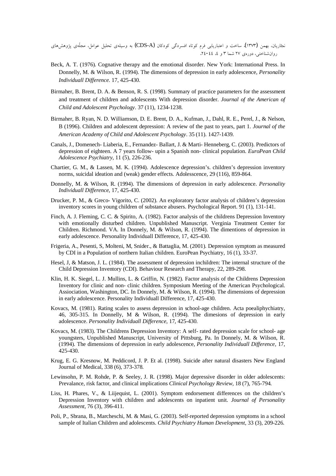نجاریان، بهمن (۱۳۷۳). ساخت و اعتباریابی فرم کوتاه افسردگی کودکان (CDS-A) به وسیلهی تحلیل عوامل، مجلّهی پژوهشرهای روانشناختی، دورهی ۲۷ شما ۳ و ٤، ٤٤-٢٤.

- Beck, A. T. (1976). Cognative therapy and the emotional disorder. New York: International Press. In Donnelly, M. & Wilson, R. (1994). The dimensions of depression in early adolescence, *Personality Individuall Difference*. 17, 425-430.
- Birmaher, B. Brent, D. A. & Benson, R. S. (1998). Summary of practice parameters for the assessment and treatment of children and adolescents With depression disorder. *Journal of the American of Child and Adolescent Psychology*. 37 (11), 1234-1238.
- Birmaher, B. Ryan, N. D. Williamson, D. E. Brent, D. A., Kufman, J., Dahl, R. E., Perel, J., & Nelson, B (1996). Children and adolescent depression: A review of the past to years, part 1. *Journal of the American Academy of Child and Adolescent Psychology*. 35 (11). 1427-1439.
- Canals, J., Domenech- Liaberia, E., Fernandez- Ballart, J. & Marti- Henneberg, C. (2003). Predictors of depression of eighteen. A 7 years follow- upin a Spanish non- clinical population. *EuroPean Child Adolescence Psychiatry*, 11 (5), 226-236.
- Chartier, G. M., & Lassen, M. K. (1994). Adolescence depression's. children's depression inventory norms, suicidal ideation and (weak) gender effects. Adolesscence, 29 (116), 859-864.
- Donnelly, M. & Wilson, R. (1994). The dimensions of depression in early adolescence. *Personality Individuall Difference*, 17, 425-430.
- Drucker, P. M., & Greco- Vigorito, C. (2002). An exploratory factor analysis of children's depression inventory scores in young children of substance abusers. Psychological Report. 91 (1), 131-141.
- Finch, A. J. Fleming, C. C. & Spirito, A. (1982). Factor analysis of the childrens Depression Inventory with emotionally disturbed children. Unpublished Manuscript. Verginia Treatment Center for Children. Richmond. VA. In Donnely, M. & Wilson, R. (1994). The dimentions of depression in early adolescence. Personality Individuall Difference, 17, 425-430.
- Frigeria, A., Pesenti, S, Molteni, M, Snider., & Battaglia, M. (2001). Depression symptom as measured by CDI in a Population of northern Italian children. EuroPean Psychiatry, 16 (1), 33-37.
- Hesel, J, & Matson, J. L. (1984). The assessment of depression inchildren: The internal structure of the Child Depression Inventory (CDI). Behaviour Research and Therapy, 22, 289-298.
- Klin, H. K. Siegel, L. J. Mullins, L. & Griffin, N. (1982). Factor analysis of the Childrens Depression Inventory for clinic and non- clinic children. Symposium Meeting of the American Psychological. Assiociation, Washington, DC. In Donnely, M. & Wilson, R. (1994). The dimensions of depression in early adolescence. Personality Individuall Difference, 17, 425-430.
- Kovacs, M. (1981). Rating scales to assess depression in school-age children. Acta poealiphychiatry, 46, 305-315. In Donnelly, M & Wilson, R. (1994). The dimesions of depression in early adolescence. *Personality Individuall Difference*, 17, 425-430.
- Kovacs, M. (1983). The Childrens Depression Inventory: A self- rated depression scale for school- age youngsters, Unpublished Manuscript, University of Pittsburg, Pa. In Donnely, M. & Wilson, R. (1994). The dimensions of depression in early adolescence, *Personality Individuall Difference,* 17, 425-430.
- Krug, E. G. Kresnow, M. Peddicord, J. P. Et al. (1998). Suicide after natural disasters New England Journal of Medical, 338 (6), 373-378.
- Lewinsohn, P. M. Rohde, P. & Seeley, J. R. (1998). Major depressive disorder in older adolescents: Prevalance, risk factor, and clinical implications *Clinical Psychology Review*, 18 (7), 765-794.
- Liss, H. Phares, V., & Liijequist, L. (2001). Symptom endorsement differences on the children's Depression Inventory with children and adolescents on inpatient unit. *Journal of Personality Assessment*, 76 (3), 396-411.
- Poli, P., Sbrana, B., Marcheschi, M. & Masi, G. (2003). Self-reported depression symptoms in a school sample of Italian Children and adolescents. *Child Psychiatry Human Development*, 33 (3), 209-226.